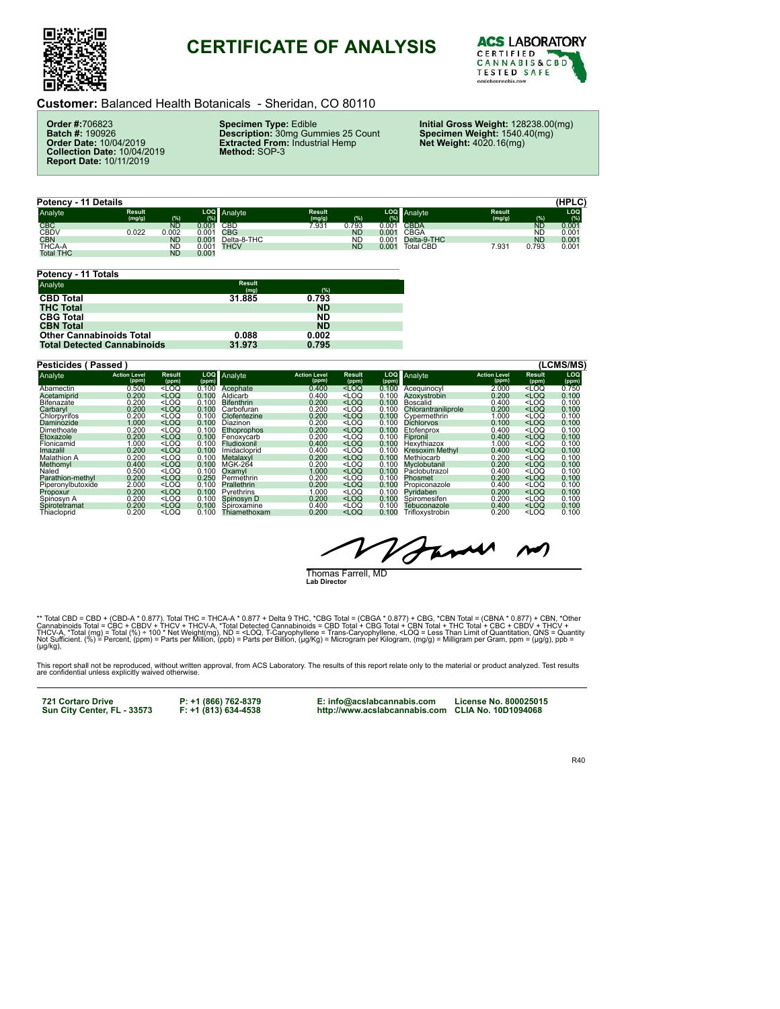

## **CERTIFICATE OF ANALYSIS**



**Customer:** Balanced Health Botanicals - Sheridan, CO 80110

**Order #:**706823 **Batch #:** 190926 **Order Date:** 10/04/2019 **Collection Date:** 10/04/2019 **Report Date:** 10/11/2019

**Specimen Type:** Edible **Description:** 30mg Gummies 25 Count **Extracted From:** Industrial Hemp **Method:** SOP-3

**Initial Gross Weight:** 128238.00(mg) **Specimen Weight:** 1540.40(mg) **Net Weight:** 4020.16(mg)

**(HPLC) Potency - 11 Details LOQ (%)** Analyte **(mg/g) (%) LOQ (%) Analyte (mg/g) (%) LOQ (%)** Analyte **(mg/g) (%)** CBC ND 0.001 CBD 7.931 0.793 0.001 CBDA ND 0.001 CBDV 0.022 0.002 0.001 CBG ND 0.001 CBGA ND 0.001 CBN ND 0.001 Delta-8-THC ND 0.001 Delta-9-THC ND 0.001 THCA-A ND 0.001 THCV ND 0.001 Total CBD 7.931 0.793 0.001 CBN<br>CBN MD 0.001<br>THCA-A ND 0.001<br>Total THC ND 0.001

| <b>Result</b><br>(mg) | (%)       |  |
|-----------------------|-----------|--|
| 31.885                | 0.793     |  |
|                       | <b>ND</b> |  |
|                       | <b>ND</b> |  |
|                       | <b>ND</b> |  |
| 0.088                 | 0.002     |  |
| 31.973                | 0.795     |  |
|                       |           |  |

| <b>Pesticides (Passed)</b> |                              |                                                                                                                                                                                               |              |                   |                              |                                                                                                                 |              |                     |                              |                 | (LCMS/MS)    |
|----------------------------|------------------------------|-----------------------------------------------------------------------------------------------------------------------------------------------------------------------------------------------|--------------|-------------------|------------------------------|-----------------------------------------------------------------------------------------------------------------|--------------|---------------------|------------------------------|-----------------|--------------|
| Analyte                    | <b>Action Level</b><br>(ppm) | <b>Result</b><br>(ppm)                                                                                                                                                                        | LOQ<br>(ppm) | Analyte           | <b>Action Level</b><br>(ppm) | Result<br>(ppm)                                                                                                 | LOQ<br>(ppm) | Analyte             | <b>Action Level</b><br>(ppm) | Result<br>(ppm) | LOQ<br>(ppm) |
| Abamectin                  | 0.500                        | $<$ LOQ                                                                                                                                                                                       | 0.100        | Acephate          | 0.400                        | $<$ LOQ                                                                                                         | 0.100        | Acequinocyl         | 2.000                        | 100             | 0.750        |
| Acetamiprid                | 0.200                        | $<$ LOQ                                                                                                                                                                                       | 0.100        | Aldicarb          | 0.400                        | <loq< td=""><td>0.100</td><td>Azoxystrobin</td><td>0.200</td><td><math>&lt;</math>LOQ</td><td>0.100</td></loq<> | 0.100        | Azoxystrobin        | 0.200                        | $<$ LOQ         | 0.100        |
| Bifenazate                 | 0.200                        | $<$ LOQ                                                                                                                                                                                       | 0.100        | <b>Bifenthrin</b> | 0.200                        | $<$ LOQ                                                                                                         | 0.100        | Boscalid            | 0.400                        | $<$ LOQ         | 0.100        |
| Carbaryl                   | 0.200                        | $<$ LOQ                                                                                                                                                                                       | 0.100        | Carbofuran        | 0.200                        | $<$ LOQ                                                                                                         | 0.100        | Chlorantraniliprole | 0.200                        | $<$ LOQ         | 0.100        |
| Chlorpvrifos               | 0.200                        | <loq< td=""><td>0.100</td><td>Clofentezine</td><td>0.200</td><td><math>&lt;</math>LOQ</td><td>0.100</td><td>Cvpermethrin</td><td>1.000</td><td><math>&lt;</math>LOQ</td><td>0.100</td></loq<> | 0.100        | Clofentezine      | 0.200                        | $<$ LOQ                                                                                                         | 0.100        | Cvpermethrin        | 1.000                        | $<$ LOQ         | 0.100        |
| Daminozide                 | 1.000                        | $<$ LOQ                                                                                                                                                                                       | 0.100        | Diazinon          | 0.200                        | $<$ LOQ                                                                                                         | 0.100        | <b>Dichlorvos</b>   | 0.100                        | $<$ LOQ         | 0.100        |
| Dimethoate                 | 0.200                        | <loq< td=""><td>0.100</td><td>Ethoprophos</td><td>0.200</td><td><math>&lt;</math>LOQ</td><td>0.100</td><td>Etofenprox</td><td>0.400</td><td><math>&lt;</math>LOQ</td><td>0.100</td></loq<>    | 0.100        | Ethoprophos       | 0.200                        | $<$ LOQ                                                                                                         | 0.100        | Etofenprox          | 0.400                        | $<$ LOQ         | 0.100        |
| Etoxazole                  | 0.200                        | $<$ LOQ                                                                                                                                                                                       | 0.100        | Fenoxycarb        | 0.200                        | $<$ LOQ                                                                                                         | 0.100        | Fipronil            | 0.400                        | $<$ LOQ         | 0.100        |
| Flonicamid                 | 1.000                        | $<$ LOQ                                                                                                                                                                                       | 0.100        | Fludioxonil       | 0.400                        | $<$ LOQ                                                                                                         | 0.100        | Hexythiazox         | 1.000                        | $<$ LOQ         | 0.100        |
| Imazalil                   | 0.200                        | $<$ LOQ                                                                                                                                                                                       | 0.100        | Imidacloprid      | 0.400                        | $<$ LOQ                                                                                                         | 0.100        | Kresoxim Methvl     | 0.400                        | $<$ LOQ         | 0.100        |
| <b>Malathion A</b>         | 0.200                        | $<$ LOQ                                                                                                                                                                                       | 0.100        | Metalaxvl         | 0.200                        | $<$ LOQ                                                                                                         | 0.100        | Methiocarb          | 0.200                        | $<$ LOQ         | 0.100        |
| Methomvl                   | 0.400                        | $<$ LOQ                                                                                                                                                                                       | 0.100        | <b>MGK-264</b>    | 0.200                        | $<$ LOQ                                                                                                         | 0.100        | Myclobutanil        | 0.200                        | $<$ LOQ         | 0.100        |
| Naled                      | 0.500                        | $<$ LOQ                                                                                                                                                                                       | 0.100        | Oxamvl            | 1.000                        | $<$ LOQ                                                                                                         | 0.100        | Páclobutrazol       | 0.400                        | $<$ LOQ         | 0.100        |
| Parathion-methyl           | 0.200                        | $<$ LOQ                                                                                                                                                                                       | 0.250        | Permethrin        | 0.200                        | $<$ LOQ                                                                                                         | 0.100        | Phosmet             | 0.200                        | $<$ LOQ         | 0.100        |
| Piperonvlbutoxide          | 2.000                        | $<$ LOQ                                                                                                                                                                                       | 0.100        | Prallethrin       | 0.200                        | $<$ LOQ                                                                                                         | 0.100        | Propiconazole       | 0.400                        | $<$ LOQ         | 0.100        |
| Propoxur                   | 0.200                        | $<$ LOQ                                                                                                                                                                                       | 0.100        | Pyrethrins        | 1.000                        | $<$ LOQ                                                                                                         | 0.100        | Pvridaben           | 0.200                        | $<$ LOQ         | 0.100        |
| Spinosyn A                 | 0.200                        | <loq< td=""><td>0.100</td><td>Spinosyn D</td><td>0.200</td><td><math>&lt;</math>LOQ</td><td>0.100</td><td>Spiromesifen</td><td>0.200</td><td><math>&lt;</math>LOQ</td><td>0.100</td></loq<>   | 0.100        | Spinosyn D        | 0.200                        | $<$ LOQ                                                                                                         | 0.100        | Spiromesifen        | 0.200                        | $<$ LOQ         | 0.100        |
| Spirotetramat              | 0.200                        | $<$ LOQ                                                                                                                                                                                       | 0.100        | Spiroxamine       | 0.400                        | <loq< td=""><td>0.100</td><td>Tebuconazole</td><td>0.400</td><td><math>&lt;</math>LOQ</td><td>0.100</td></loq<> | 0.100        | Tebuconazole        | 0.400                        | $<$ LOQ         | 0.100        |
| Thiacloprid                | 0.200                        | $<$ LOQ                                                                                                                                                                                       | 0.100        | Thiamethoxam      | 0.200                        | $<$ LOQ                                                                                                         | 0.100        | Trifloxystrobin     | 0.200                        | $<$ LOQ         | 0.100        |

anne  $\sim$ ' I

Thomas Farrell, MD **Lab Director**

\*\* Total CBD = CBD + (CBD-A \* 0.877). Total THC = THCA-A \* 0.877 + Delta 9 THC, \*CBG Total = (CBGA \* 0.877) + CBC, \*CBN Total = CBN 4 \* 0.877) + CBN, \*Other<br>Cannabinoids Total = CBC + CBDV + THCV + THCV-A, \*Total Detected

This report shall not be reproduced, without written approval, from ACS Laboratory. The results of this report relate only to the material or product analyzed. Test results<br>are confidential unless explicitly waived otherwi

**721 Cortaro Drive Sun City Center, FL - 33573** 

**P: +1 (866) 762-8379 F: +1 (813) 634-4538** 

**E: info@acslabcannabis.com http://www.acslabcannabis.com License No. 800025015 CLIA No. 10D1094068** 

R40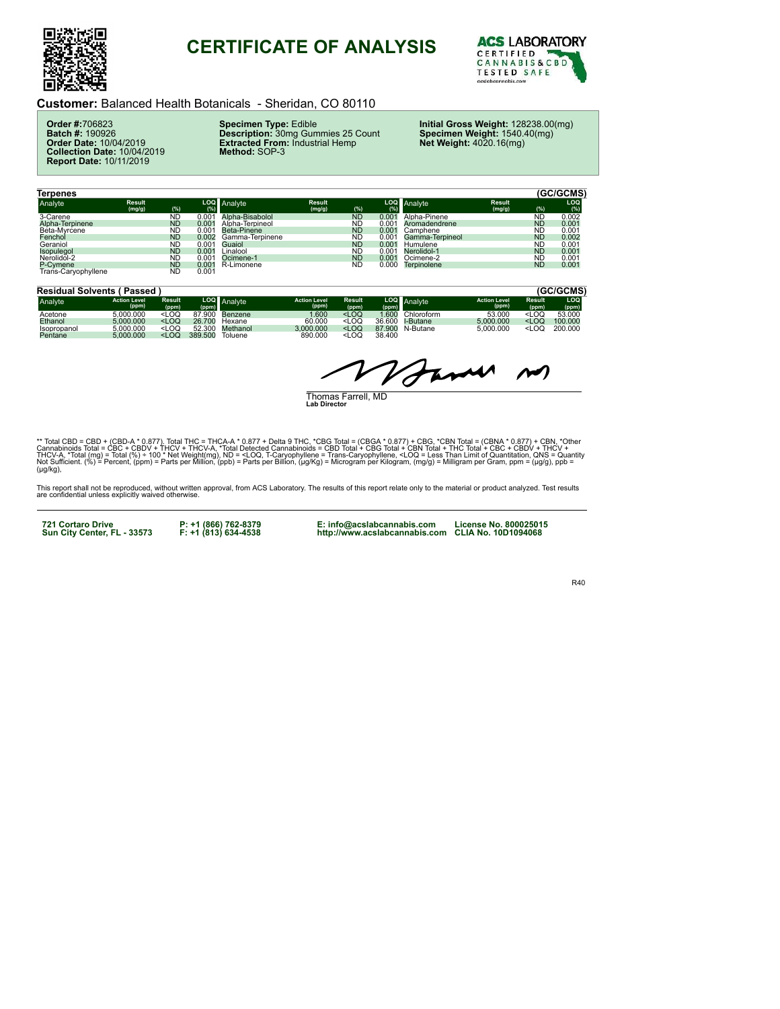

## **CERTIFICATE OF ANALYSIS**



**Customer:** Balanced Health Botanicals - Sheridan, CO 80110

**Order #:**706823 **Batch #:** 190926 **Order Date:** 10/04/2019 **Collection Date:** 10/04/2019 **Report Date:** 10/11/2019

**Specimen Type:** Edible **Description:** 30mg Gummies 25 Count **Extracted From:** Industrial Hemp **Method:** SOP-3

**Initial Gross Weight:** 128238.00(mg) **Specimen Weight:** 1540.40(mg) **Net Weight:** 4020.16(mg)

| Terpenes                        |                         |           |                |                 |                         |           |       |                 |                         |           | (GC/GCMS)  |
|---------------------------------|-------------------------|-----------|----------------|-----------------|-------------------------|-----------|-------|-----------------|-------------------------|-----------|------------|
| Analyte                         | <b>Result</b><br>(mg/g) | (%)       | (%)            | LOQ Analyte     | <b>Result</b><br>(mg/g) | (%)       | (%)   | LOQ Analyte     | <b>Result</b><br>(mg/g) | (%)       | LOQ<br>(%) |
| 3-Carene                        |                         | <b>ND</b> | 0.001          | Alpha-Bisabolol |                         | <b>ND</b> | 0.001 | Alpha-Pinene    |                         | <b>ND</b> | 0.002      |
| Alpha-Terpinene                 |                         | <b>ND</b> | 0.001          | Alpha-Terpineol |                         | <b>ND</b> | 0.001 | Aromadendrene   |                         | <b>ND</b> | 0.001      |
| Beta-Myrcene                    |                         | <b>ND</b> | 0.001          | Beta-Pinene     |                         | <b>ND</b> | 0.001 | Camphene        |                         | <b>ND</b> | 0.001      |
| Fenchol                         |                         | <b>ND</b> | 0.002          | Gamma-Terpinene |                         | <b>ND</b> | 0.001 | Gamma-Terpineol |                         | <b>ND</b> | 0.002      |
| Geraniol                        |                         | <b>ND</b> | 0.001          | Guaiol          |                         | <b>ND</b> | 0.001 | Humulene        |                         | <b>ND</b> | 0.001      |
| Isopulegol                      |                         | <b>ND</b> | $0.00^{\circ}$ | Linalool        |                         | <b>ND</b> | 0.001 | Nerolidol-1     |                         | <b>ND</b> | 0.001      |
| Nerolidol-2                     |                         | <b>ND</b> | 0.001          | Ocimene-1       |                         | <b>ND</b> | 0.001 | Ocimene-2       |                         | <b>ND</b> | 0.001      |
|                                 |                         | <b>ND</b> | 0.001          | R-Limonene      |                         | <b>ND</b> | 0.000 | Terpinolene     |                         | <b>ND</b> | 0.001      |
| P-Cymene<br>Trans-Caryophyllene |                         | <b>ND</b> | 0.001          |                 |                         |           |       |                 |                         |           |            |

| <b>Residual Solvents (Passed)</b> |                              |                                                                                                                                                                                                 |         |             |                              |                                                                                                                   |               |            |                              |                                     | (GC/GCMS)    |
|-----------------------------------|------------------------------|-------------------------------------------------------------------------------------------------------------------------------------------------------------------------------------------------|---------|-------------|------------------------------|-------------------------------------------------------------------------------------------------------------------|---------------|------------|------------------------------|-------------------------------------|--------------|
| Analyte                           | <b>Action Level</b><br>(ppm) | <b>Result</b><br>(ppm)                                                                                                                                                                          | (ppm)   | LOQ Analyte | <b>Action Level</b><br>(ppm) | <b>Result</b><br>(ppm)                                                                                            | LOQ.<br>(ppm) | Analyte    | <b>Action Level</b><br>(ppm) | Result<br>(ppm)                     | LOQ<br>(ppm) |
| Acetone                           | 5.000.000                    | <loq< td=""><td>87.900</td><td>Benzene</td><td>.600</td><td><loq< td=""><td>.600</td><td>Chloroform</td><td>53,000</td><td><math>&lt;</math>LOQ</td><td>53,000</td></loq<></td></loq<>          | 87.900  | Benzene     | .600                         | <loq< td=""><td>.600</td><td>Chloroform</td><td>53,000</td><td><math>&lt;</math>LOQ</td><td>53,000</td></loq<>    | .600          | Chloroform | 53,000                       | $<$ LOQ                             | 53,000       |
| Ethanol                           | 5.000.000                    | <loq< td=""><td>26,700</td><td>Hexane</td><td>60.000</td><td><loq< td=""><td>36.600</td><td>I-Butane</td><td>5.000.000</td><td><loq< td=""><td>100,000</td></loq<></td></loq<></td></loq<>      | 26,700  | Hexane      | 60.000                       | <loq< td=""><td>36.600</td><td>I-Butane</td><td>5.000.000</td><td><loq< td=""><td>100,000</td></loq<></td></loq<> | 36.600        | I-Butane   | 5.000.000                    | <loq< td=""><td>100,000</td></loq<> | 100,000      |
| Isopropanol                       | 5.000.000                    | <loq< td=""><td>52.300</td><td>Methanol</td><td>3.000.000</td><td><loq< td=""><td>87.900</td><td>N-Butane</td><td>5.000.000</td><td><loq< td=""><td>200.000</td></loq<></td></loq<></td></loq<> | 52.300  | Methanol    | 3.000.000                    | <loq< td=""><td>87.900</td><td>N-Butane</td><td>5.000.000</td><td><loq< td=""><td>200.000</td></loq<></td></loq<> | 87.900        | N-Butane   | 5.000.000                    | <loq< td=""><td>200.000</td></loq<> | 200.000      |
| Pentane                           | 5.000.000                    | <loq< td=""><td>389.500</td><td>Toluene</td><td>890.000</td><td><math>&lt;</math>LOQ</td><td>38.400</td><td></td><td></td><td></td><td></td></loq<>                                             | 389.500 | Toluene     | 890.000                      | $<$ LOQ                                                                                                           | 38.400        |            |                              |                                     |              |

True  $\sim$  $\boldsymbol{\mathcal{J}}$ 

Thomas Farrell, MD **Lab Director** 

\*\* Total CBD = CBD + (CBD-A \* 0.877). Total THC = THCA-A \* 0.877 + Delta 9 THC, \*CBG Total = (CBGA \* 0.877) + CBG, \*CBN Total = (CBNA \* 0.877) + CBN, \*Other<br>Cannabinoids Total = CBC + CBDV + THCV + THCV-A, \*Total Detected (µg/kg),

This report shall not be reproduced, without written approval, from ACS Laboratory. The results of this report relate only to the material or product analyzed. Test results<br>are confidential unless explicitly waived otherwi

**721 Cortaro Drive Sun City Center, FL - 33573** 

**P: +1 (866) 762-8379 F: +1 (813) 634-4538** 

**E: info@acslabcannabis.com http://www.acslabcannabis.com CLIA No. 10D1094068** 

**License No. 800025015** 

R40